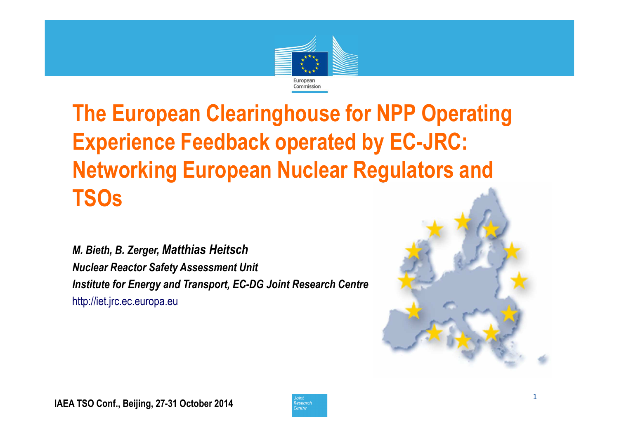

# **The European Clearinghouse for NPP Operating Experience Feedback operated by EC-JRC: Networking European Nuclear Regulators and TSOs**

*M. Bieth, B. Zerger, Matthias HeitschNuclear Reactor Safety Assessment UnitInstitute for Energy and Transport, EC-DG Joint Research Centre*http://iet.jrc.ec.europa.eu



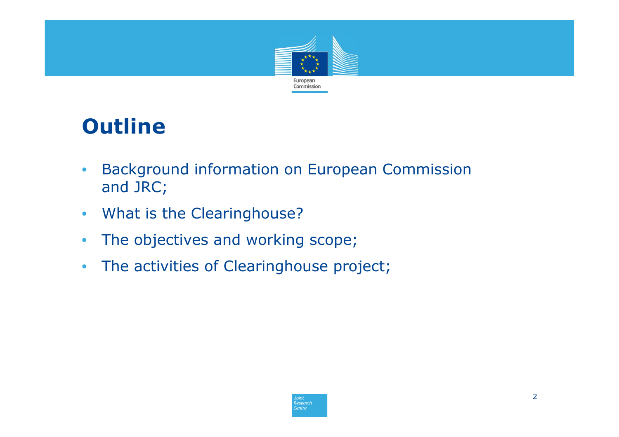

# **Outline**

- $\bullet$  Background information on European Commission and JRC;
- $\bullet$ What is the Clearinghouse?
- $\bullet$ The objectives and working scope;
- $\bullet$ The activities of Clearinghouse project;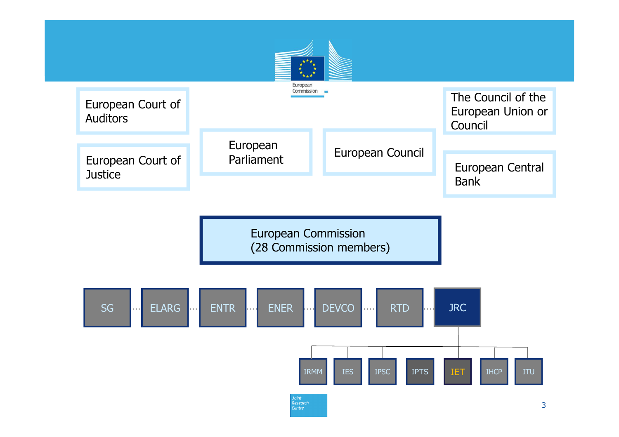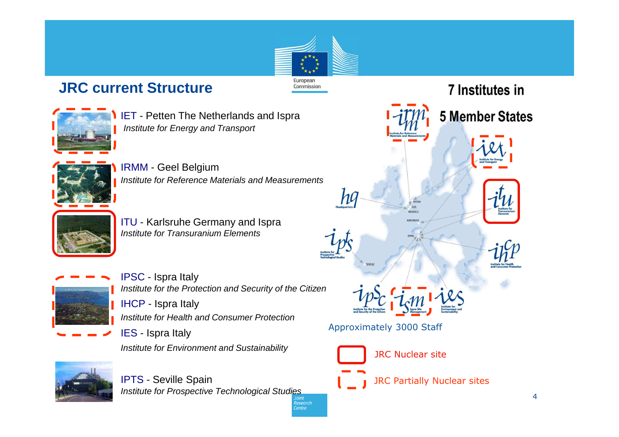# European Commission

?esearch **Centre** 

### **JRC current Structure**



IET - Petten The Netherlands and Ispra Institute for Energy and Transport



IRMM - Geel Belgium Institute for Reference Materials and Measurements



ITU - Karlsruhe Germany and Ispra<br>Institute for Transuranium Elemente Institute for Transuranium Elements



IPSC - Ispra Italy Institute for the Protection and Security of the CitizenIHCP - Ispra Italy Institute for Health and Consumer ProtectionIES - Ispra Italy

Institute for Environment and Sustainability



IPTS - Seville Spain Institute for Prospective Technological Studies

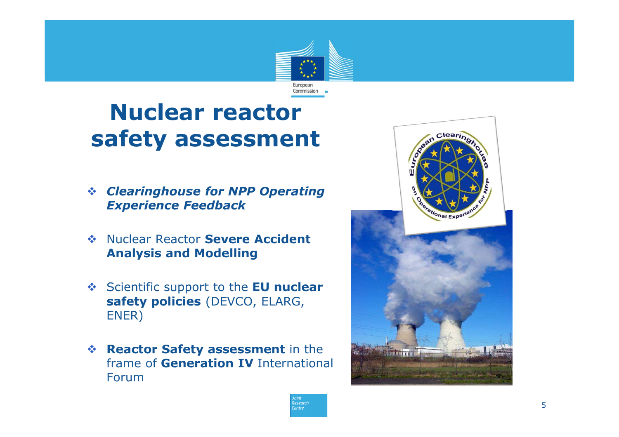

# **Nuclear reactor safety assessment**

- $\frac{1}{2}$  *Clearinghouse for NPP Operating Experience Feedback*
- **Example 20 Nuclear Reactor Severe Accident Analysis and Modelling Analysis and Modelling**
- Scientific support to the **EU nuclear**<br>**Safety policies** (DEVCO, ELABC **safety policies** (DEVCO, ELARG, ENER)
- **Reactor Safety assessment** in the **frame of Generation IV** Internations frame of **Generation IV** International Forum



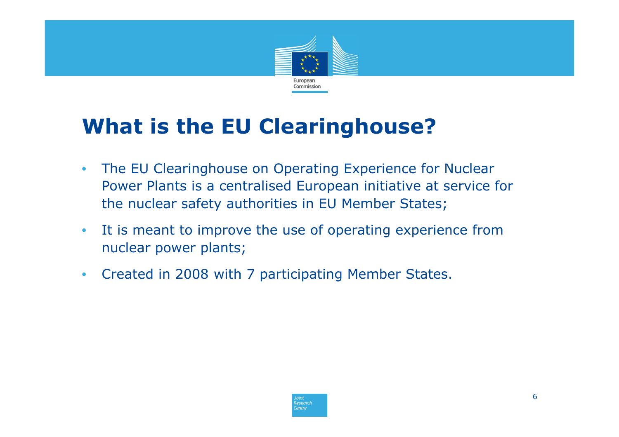

# **What is the EU Clearinghouse?**

- $\bullet$  The EU Clearinghouse on Operating Experience for Nuclear Power Plants is a centralised European initiative at service for the nuclear safety authorities in EU Member States;
- $\bullet$  It is meant to improve the use of operating experience from nuclear power plants;
- $\bullet$ Created in 2008 with 7 participating Member States.

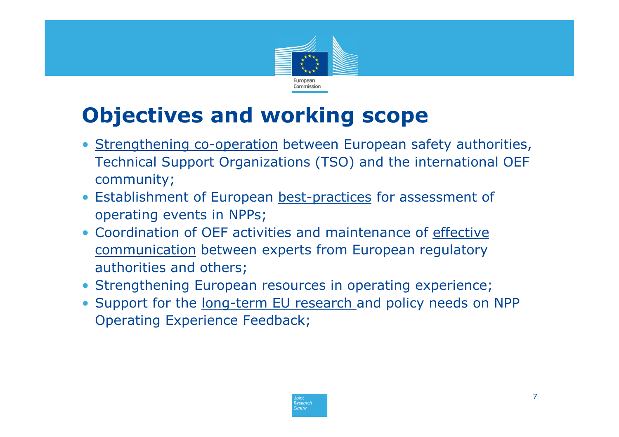

# **Objectives and working scope**

- Strengthening co-operation between European safety authorities,<br>Technical Suppert Organizations (TSO) and the international OFF Technical Support Organizations (TSO) and the international OEF community;
- Establishment of European best-practices for assessment of approximation events in NPPs: operating events in NPPs;
- Coordination of OEF activities and maintenance of effective communication between experts from European regulatory authorities and others;
- Strengthening European resources in operating experience;
- Support for the long-term EU research and policy needs on NPP Operating Experience Feedback;

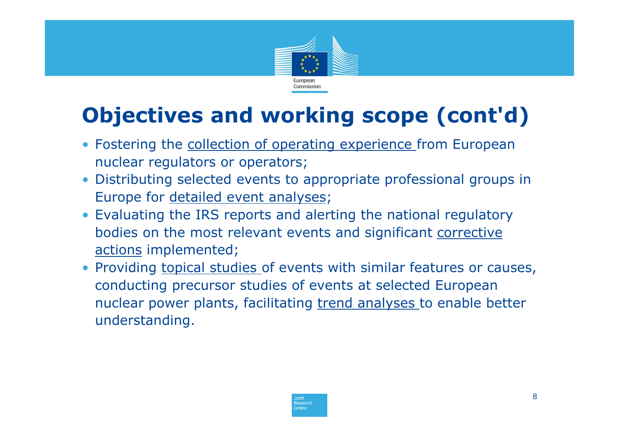

# **Objectives and working scope (cont'd)**

- Fostering the **collection of operating experience** from European nuclear regulators or operators;
- Distributing selected events to appropriate professional groups in Europe for detailed event analyses;
- Evaluating the IRS reports and alerting the national regulatory bodies on the most relevant events and significant corrective actions implemented;
- Providing topical studies of events with similar features or causes, conducting precursor studies of events at selected European nuclear power plants, facilitating trend analyses to enable better understanding.

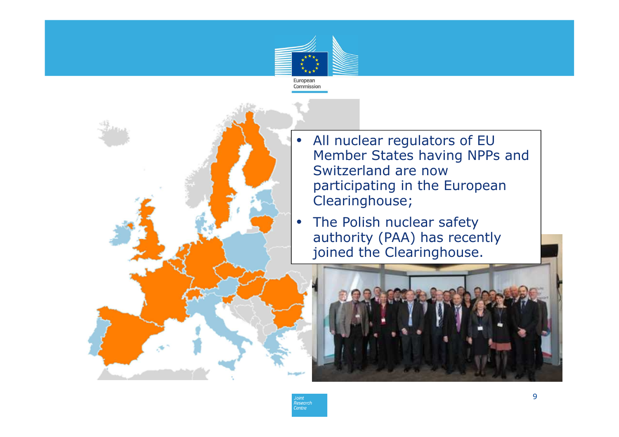



- All nuclear regulators of EU Member States having NPPs and Switzerland are now participating in the European Clearinghouse;
- The Polish nuclear safety authority (PAA) has recently joined the Clearinghouse.

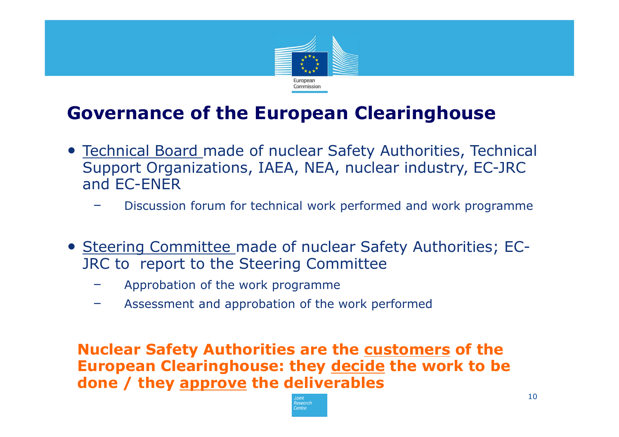

## **Governance of the European Clearinghouse**

- Technical Board made of nuclear Safety Authorities, Technical Support Organizations, IAEA, NEA, nuclear industry, EC-JRC and EC-ENER
	- Discussion forum for technical work performed and work programme
- Steering Committee made of nuclear Safety Authorities; EC-JRC to report to the Steering Committee
	- Approbation of the work programme
	- Assessment and approbation of the work performed

**Nuclear Safety Authorities are the customers of the European Clearinghouse: they decide the work to be done / they approve the deliverables**

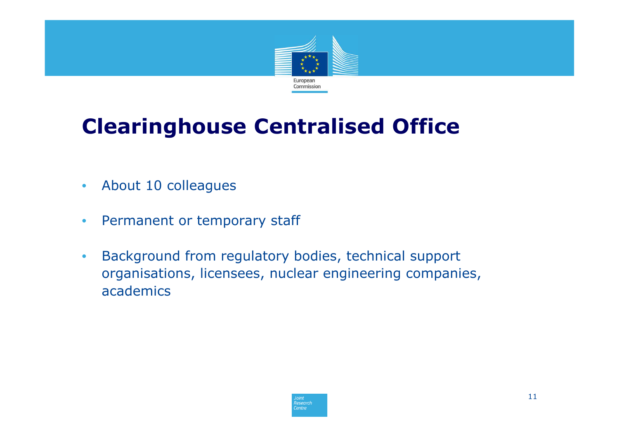

# **Clearinghouse Centralised Office**

- •About 10 colleagues
- $\bullet$ Permanent or temporary staff
- $\bullet$  Background from regulatory bodies, technical support organisations, licensees, nuclear engineering companies, academics

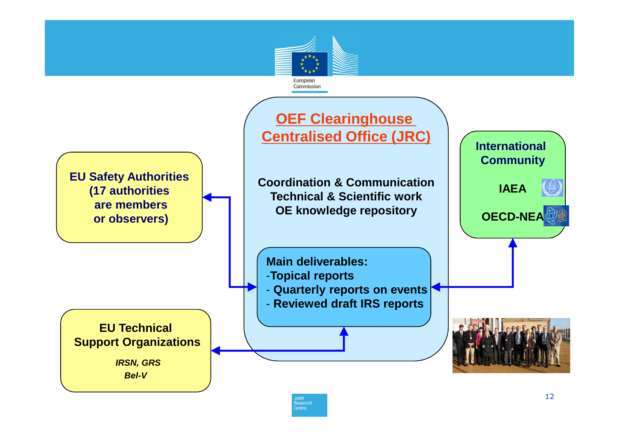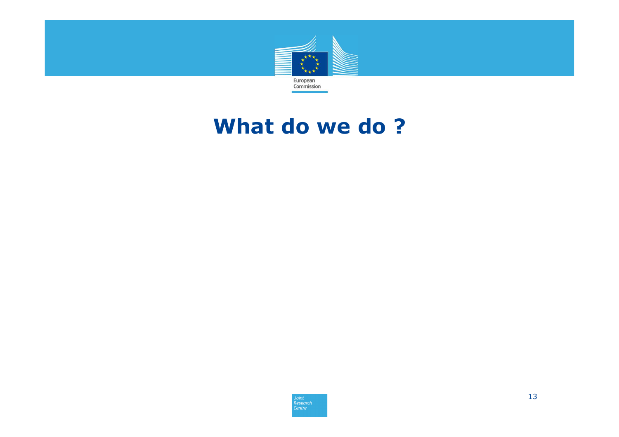

## **What do we do ?**

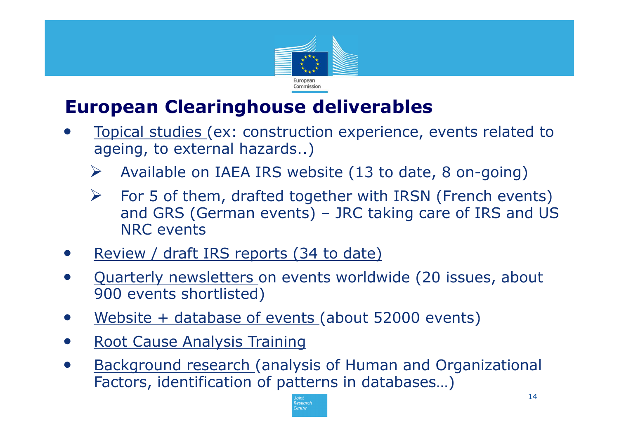

## **European Clearinghouse deliverables**

- • Topical studies (ex: construction experience, events related to ageing, to external hazards..)
	- $\blacktriangleright$ Available on IAEA IRS website (13 to date, 8 on-going)
	- $\blacktriangleright$  For 5 of them, drafted together with IRSN (French events) and GRS (German events) – JRC taking care of IRS and US NRC events
- •Review / draft IRS reports (34 to date)
- • Quarterly newsletters on events worldwide (20 issues, about 900 events shortlisted)
- •Website + database of events (about 52000 events)
- •Root Cause Analysis Training
- • Background research (analysis of Human and Organizational Factors, identification of patterns in databases…)

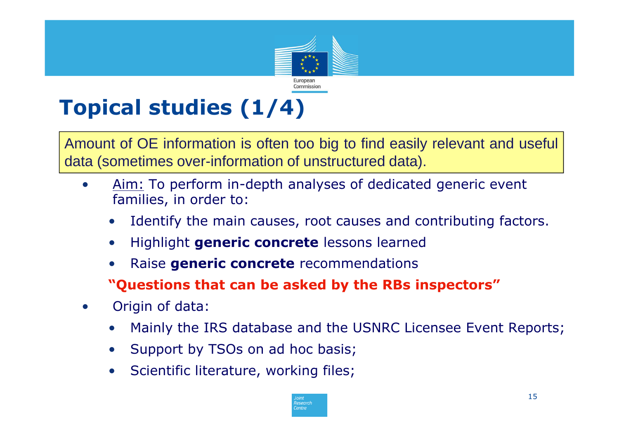

# **Topical studies (1/4)**

Amount of OE information is often too big to find easily relevant and useful data (sometimes over-information of unstructured data).

- • Aim: To perform in-depth analyses of dedicated generic event families, in order to:
	- •Identify the main causes, root causes and contributing factors.
	- $\bullet$ **•** Highlight **generic concrete** lessons learned
	- •Raise **generic concrete** recommendations
	- **"Questions that can be asked by the RBs inspectors"**
- • Origin of data:
	- $\bullet$ Mainly the IRS database and the USNRC Licensee Event Reports;
	- $\bullet$ Support by TSOs on ad hoc basis;
	- •Scientific literature, working files;

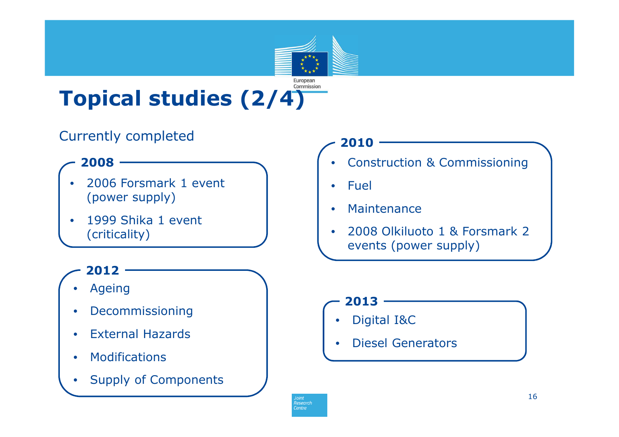#### Commission **Topical studies (2/4)**

## Currently completed

### **2008**

- • 2006 Forsmark 1 event (power supply)
- • 1999 Shika 1 event (criticality)

### **2012**

- •• Ageing
- •Decommissioning
- $\bullet$ External Hazards
- $\bullet$ Modifications
- $\bullet$ Supply of Components

### **2010**

European

- •Construction & Commissioning
- $\bullet$ Fuel
- •**Maintenance**
- • 2008 Olkiluoto 1 & Forsmark 2 events (power supply)

#### **2013**

- •Digital I&C
- •Diesel Generators

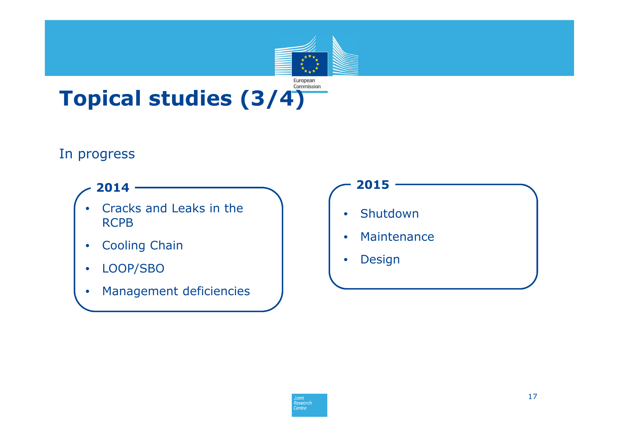## European<br>Commission **Topical studies (3/4)**

### In progress

### **2014**

- • Cracks and Leaks in the RCPB
- •Cooling Chain
- •LOOP/SBO
- •Management deficiencies

### $\bullet$  Shutdown $\bullet$  Maintenance**<sup>2015</sup>**

 $\bullet$ Design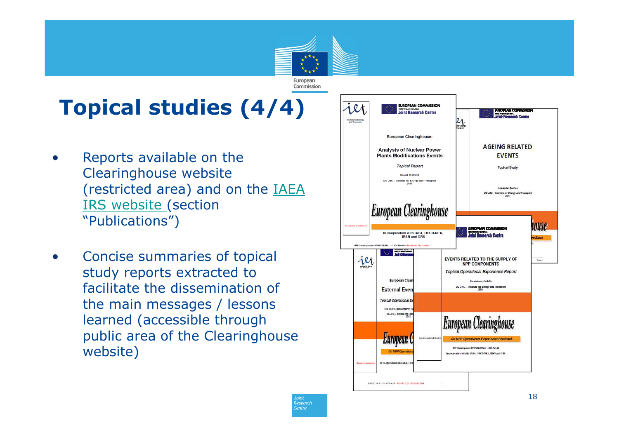# **Topical studies (4/4)**

- • Reports available on the Clearinghouse website (restricted area) and on the **IAEA** IRS website (section "Publications")
- • Concise summaries of topical study reports extracted to facilitate the dissemination of the main messages / lessons learned (accessible through public area of the Clearinghouse website)



European Commission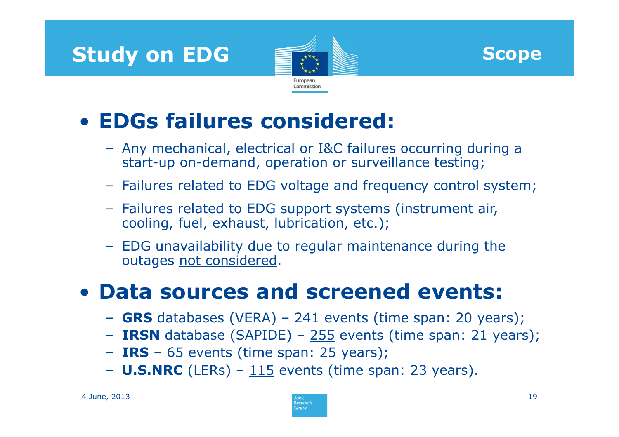





# • **EDGs failures considered:**

- Any mechanical, electrical or I&C failures occurring during a start-up on-demand, operation or surveillance testing;
- Failures related to EDG voltage and frequency control system;
- Failures related to EDG support systems (instrument air, cooling, fuel, exhaust, lubrication, etc.);
- EDG unavailability due to regular maintenance during the outages not considered.

# • **Data sources and screened events:**

- **GRS** databases (VERA) <sup>241</sup> events (time span: 20 years); –
- **IRSN** database (SAPIDE) 255 events (time span: 21 years);<br>- TPS 65 events (time span: 25 years);
- **IRS** <sup>65</sup> events (time span: 25 years); –
- **U.S.NRC** (LERs) <sup>115</sup> events (time span: 23 years).

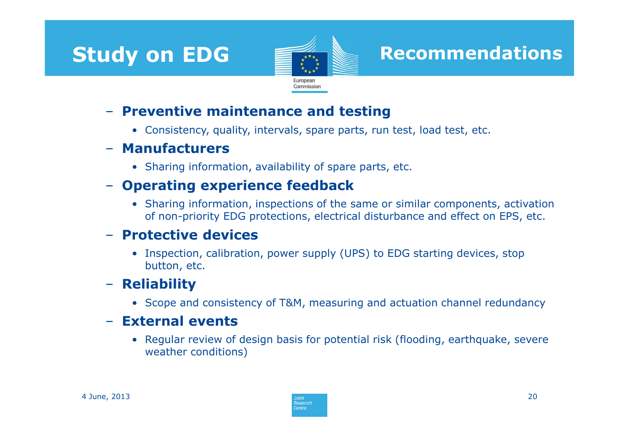## **Study on EDG**



## **Recommendations**

- **Preventive maintenance and testing**<br>
• Consistency, quality, intervals, spare parts, run test, load test, etc.<br> **- Manufacturers**<br>
• Sharing information, availability of spare parts, etc.<br> **- Operating experience feed** 

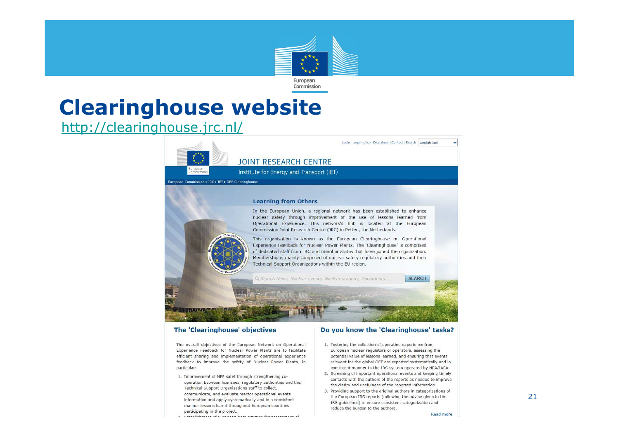

## **Clearinghouse website**

http://clearinghouse.jrc.nl/



Experience Feedback for Nuclear Power Plants are to facilitate efficient sharing and implementation of operational experience feedback to improve the safety of Nuclear Power Plants, in particular:

- 1. Improvement of NPP safet through strengthening cooperation between licensees, regulatory authorities and their Technical Support Organisations staff to collect, communicate, and evaluate reactor operational events information and apply systematically and in a consistent manner lessons learnt throughout European countries participating in the project.
- European nuclear regulators or operators, assessing the potential value of lessons learned, and ensuring that events relevant for the global OEF are reported systematically and in consistent manner to the IRS system operated by NEA/IAEA.
- 2. Screening of important operational events and keeping timely contacts with the authors of the reports as needed to improve the clarity and usefulness of the reported information.
- 3. Providing support to the original authors in categorizations of the European IRS reports (following the advise given in the IRS quidelines) to ensure consistent categorization and reduce the burden to the authors.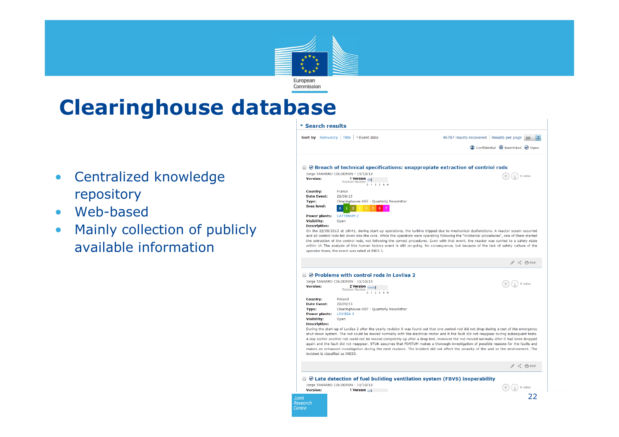

## **Clearinghouse database**

- $\bullet$  Centralized knowledge repository
- Web-based
- Mainly collection of publicly •available information

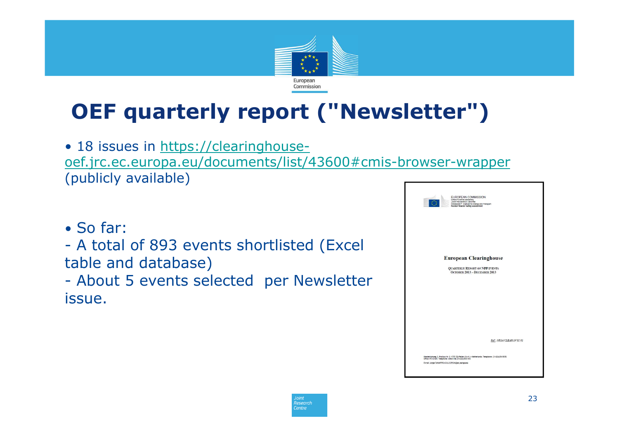

# **OEF quarterly report ("Newsletter")**

• 18 issues in https://clearinghouseoef.jrc.ec.europa.eu/documents/list/43600#cmis-browser-wrapper(publicly available)

• So far:

- A tota A total of 893 events shortlisted (Excel table and database)

- About 5 events selected per Newsletter<br>issue issue.



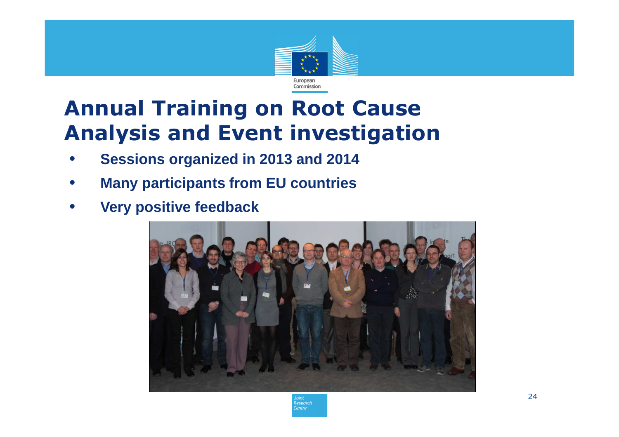

# **Annual Training on Root Cause Analysis and Event investigation**

- •**Sessions organized in 2013 and 2014**
- •**Many participants from EU countries**
- •**Very positive feedback**



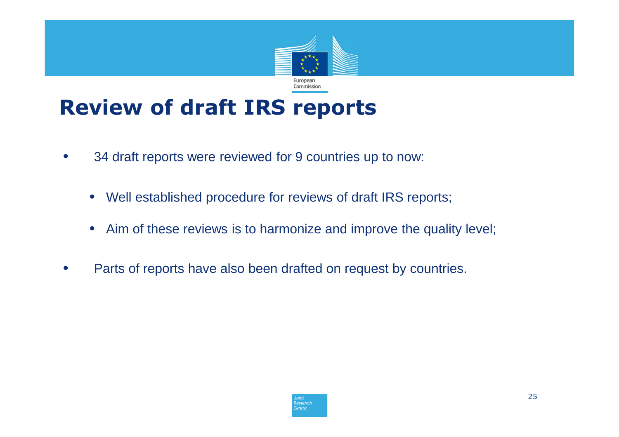

# **Review of draft IRS reports**

- $\bullet$  34 draft reports were reviewed for 9 countries up to now:
	- Well established procedure for reviews of draft IRS reports;
	- $\bullet$ Aim of these reviews is to harmonize and improve the quality level;
- •Parts of reports have also been drafted on request by countries.

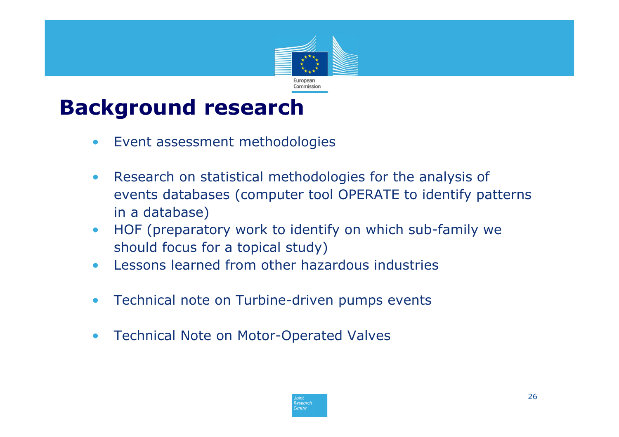

# **Background research**

- $\bullet$ Event assessment methodologies
- $\bullet$  Research on statistical methodologies for the analysis of events databases (computer tool OPERATE to identify patterns in a database)
- HOF (preparatory work to identify on which sub-family we  $\bullet$ should focus for a topical study)
- Lessons learned from other hazardous industries  $\bullet$
- $\bullet$ Technical note on Turbine-driven pumps events
- $\bullet$ Technical Note on Motor-Operated Valves

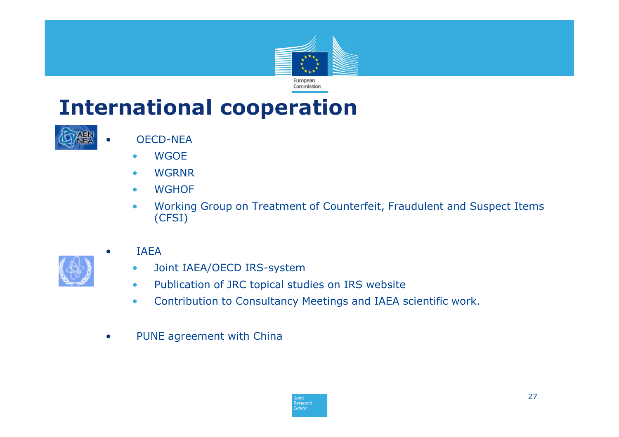

# **International cooperation**



•

•

- OECD-NEA
- WGOE•
- •WGRNR
- WGHOF•
- • Working Group on Treatment of Counterfeit, Fraudulent and Suspect Items (CFSI)



- **IAFA** 
	- Joint IAEA/OECD IRS-system•
	- Publication of JRC topical studies on IRS website  $\bullet$
	- $\bullet$ Contribution to Consultancy Meetings and IAEA scientific work.
- •PUNE agreement with China